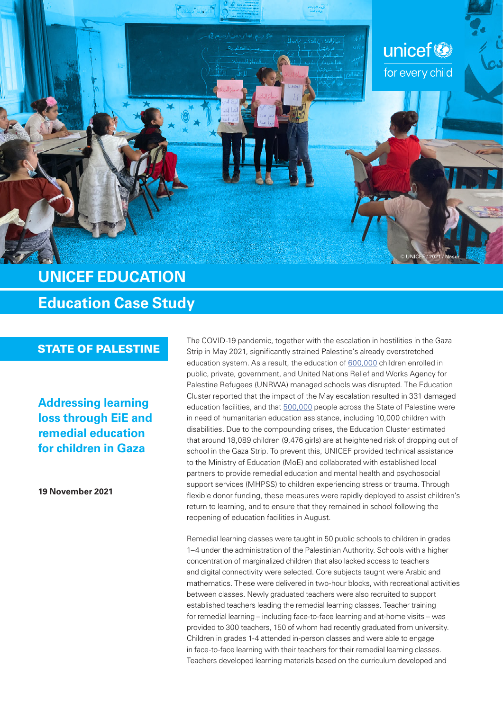

# **UNICEF EDUCATION Education Case Study**

**Addressing learning loss through EiE and remedial education for children in Gaza**

**19 November 2021**

The COVID-19 pandemic, together with the escalation in hostilities in the Gaza<br>STATE OF PALESTINE Strip in May 2021, significantly strained Palestine's already overstretched education system. As a result, the education of [600,000](https://reliefweb.int/sites/reliefweb.int/files/resources/UNICEF State of Palestine Humanitarian Situation Report No. 3 %28Gaza Escalation%29 - 24 May 2021.pdf) children enrolled in public, private, government, and United Nations Relief and Works Agency for Palestine Refugees (UNRWA) managed schools was disrupted. The Education Cluster reported that the impact of the May escalation resulted in 331 damaged education facilities, and that [500,000](https://reliefweb.int/sites/reliefweb.int/files/resources/UNICEF State of Palestine Humanitarian Situation Report No.2 - Mid-Year 1 January - 31 July 2021.pdf) people across the State of Palestine were in need of humanitarian education assistance, including 10,000 children with disabilities. Due to the compounding crises, the Education Cluster estimated that around 18,089 children (9,476 girls) are at heightened risk of dropping out of school in the Gaza Strip. To prevent this, UNICEF provided technical assistance to the Ministry of Education (MoE) and collaborated with established local partners to provide remedial education and mental health and psychosocial support services (MHPSS) to children experiencing stress or trauma. Through flexible donor funding, these measures were rapidly deployed to assist children's return to learning, and to ensure that they remained in school following the reopening of education facilities in August.

> Remedial learning classes were taught in 50 public schools to children in grades 1–4 under the administration of the Palestinian Authority. Schools with a higher concentration of marginalized children that also lacked access to teachers and digital connectivity were selected. Core subjects taught were Arabic and mathematics. These were delivered in two-hour blocks, with recreational activities between classes. Newly graduated teachers were also recruited to support established teachers leading the remedial learning classes. Teacher training for remedial learning – including face-to-face learning and at-home visits – was provided to 300 teachers, 150 of whom had recently graduated from university. Children in grades 1‑4 attended in‑person classes and were able to engage in face-to-face learning with their teachers for their remedial learning classes. Teachers developed learning materials based on the curriculum developed and